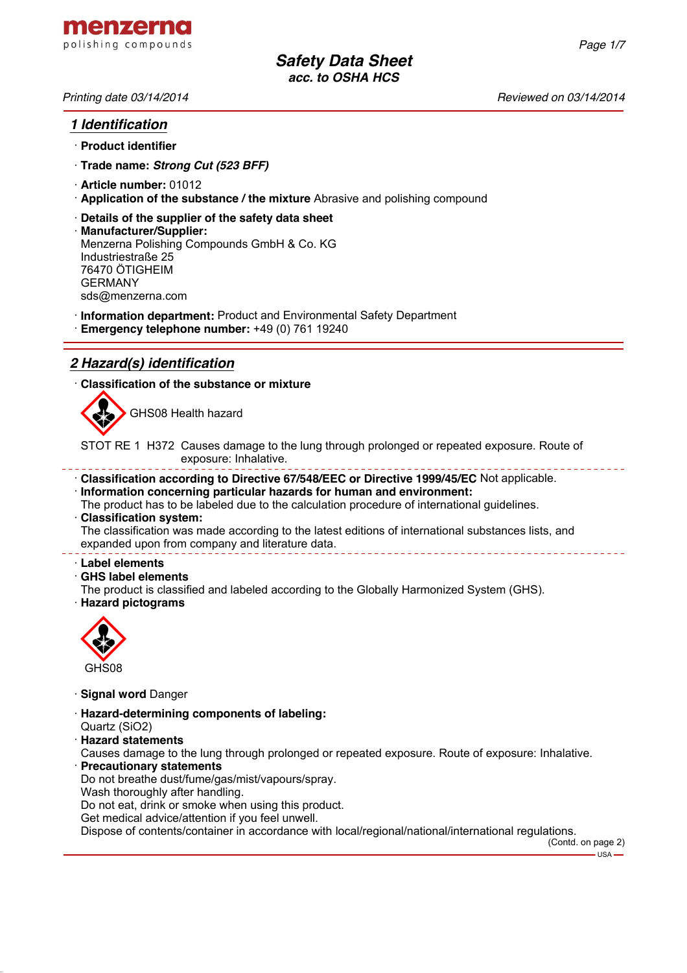*Printing date 03/14/2014 Reviewed on 03/14/2014*

*Page 1/7*

## *1 Identification*

- · **Product identifier**
- · **Trade name:** *Strong Cut (523 BFF)*
- · **Article number:** 01012
- · **Application of the substance / the mixture** Abrasive and polishing compound
- · **Details of the supplier of the safety data sheet**
- · **Manufacturer/Supplier:** Menzerna Polishing Compounds GmbH & Co. KG Industriestraße 25 76470 ÖTIGHEIM GERMANY sds@menzerna.com
- · **Information department:** Product and Environmental Safety Department
- · **Emergency telephone number:** +49 (0) 761 19240

# *2 Hazard(s) identification*

· **Classification of the substance or mixture**



GHS08 Health hazard

STOT RE 1 H372 Causes damage to the lung through prolonged or repeated exposure. Route of exposure: Inhalative.

- · **Classification according to Directive 67/548/EEC or Directive 1999/45/EC** Not applicable.
- · **Information concerning particular hazards for human and environment:**
- The product has to be labeled due to the calculation procedure of international guidelines. · **Classification system:**

The classification was made according to the latest editions of international substances lists, and expanded upon from company and literature data. \_\_\_\_\_\_\_\_\_\_\_\_\_\_

#### · **Label elements**

- · **GHS label elements**
- The product is classified and labeled according to the Globally Harmonized System (GHS).
- · **Hazard pictograms**



- · **Signal word** Danger
- · **Hazard-determining components of labeling:**
- Quartz (SiO2)
- · **Hazard statements**

Causes damage to the lung through prolonged or repeated exposure. Route of exposure: Inhalative.

- · **Precautionary statements**
- Do not breathe dust/fume/gas/mist/vapours/spray.
- Wash thoroughly after handling.

Do not eat, drink or smoke when using this product.

Get medical advice/attention if you feel unwell.

Dispose of contents/container in accordance with local/regional/national/international regulations.

(Contd. on page 2)

 $-$  USA  $\cdot$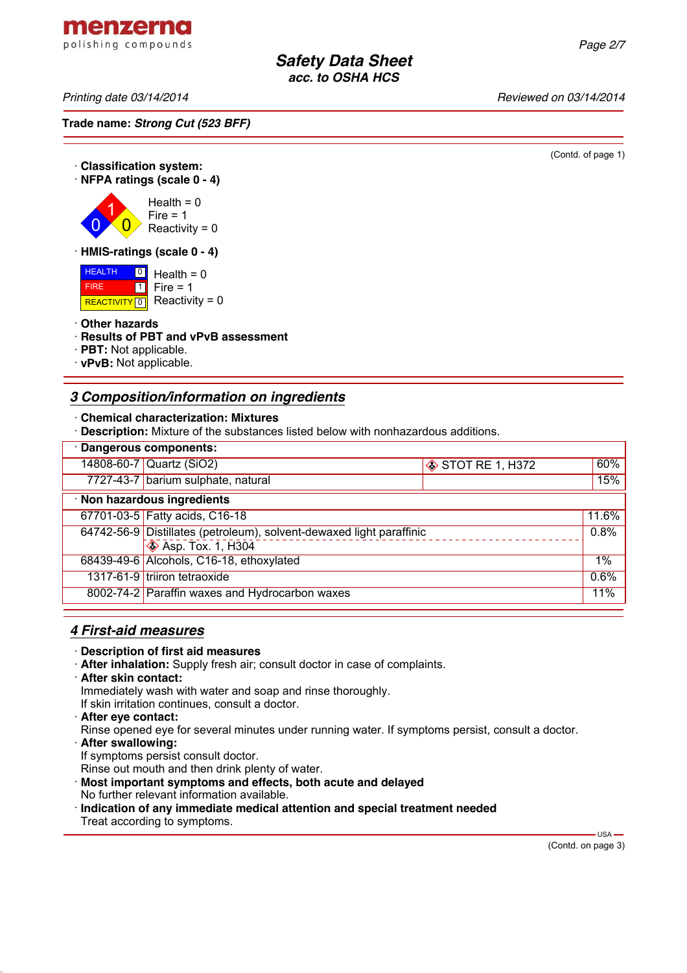menzerna polishing compounds

*Printing date 03/14/2014 Reviewed on 03/14/2014*

**Trade name:** *Strong Cut (523 BFF)*

(Contd. of page 1)

#### · **Classification system:** · **NFPA ratings (scale 0 - 4)** 0 1  $\overline{\mathbf{0}}$  $Health = 0$  $Fire = 1$ Reactivity =  $0$ · **HMIS-ratings (scale 0 - 4)** HEALTH  $\frac{0}{1}$  Health = 0

 FIRE REACTIVITY  $\boxed{0}$  Reactivity = 0  $\overline{\mathbf{1}}$ Fire  $= 1$ 

#### · **Other hazards**

- · **Results of PBT and vPvB assessment**
- · **PBT:** Not applicable.
- · **vPvB:** Not applicable.

# *3 Composition/information on ingredients*

- · **Chemical characterization: Mixtures**
- · **Description:** Mixture of the substances listed below with nonhazardous additions.

| · Dangerous components:                  |                                                                      |                 |       |  |
|------------------------------------------|----------------------------------------------------------------------|-----------------|-------|--|
|                                          | 14808-60-7 Quartz (SiO2)                                             | STOT RE 1, H372 | 60%   |  |
|                                          | 7727-43-7 barium sulphate, natural                                   |                 | 15%   |  |
| · Non hazardous ingredients              |                                                                      |                 |       |  |
|                                          | 67701-03-5 Fatty acids, C16-18                                       |                 | 11.6% |  |
|                                          | 64742-56-9 Distillates (petroleum), solvent-dewaxed light paraffinic |                 | 0.8%  |  |
|                                          | $\bigotimes$ Asp. Tox. 1, H304                                       |                 |       |  |
| 68439-49-6 Alcohols, C16-18, ethoxylated |                                                                      | $1\%$           |       |  |
|                                          | 1317-61-9 triiron tetraoxide                                         |                 | 0.6%  |  |
|                                          | 8002-74-2 Paraffin waxes and Hydrocarbon waxes                       |                 | 11%   |  |

## *4 First-aid measures*

- · **Description of first aid measures**
- · **After inhalation:** Supply fresh air; consult doctor in case of complaints.
- · **After skin contact:**

Immediately wash with water and soap and rinse thoroughly.

- If skin irritation continues, consult a doctor.
- · **After eye contact:**
- Rinse opened eye for several minutes under running water. If symptoms persist, consult a doctor.
- · **After swallowing:**
- If symptoms persist consult doctor.
- Rinse out mouth and then drink plenty of water.
- · **Most important symptoms and effects, both acute and delayed**
- No further relevant information available.
- · **Indication of any immediate medical attention and special treatment needed** Treat according to symptoms.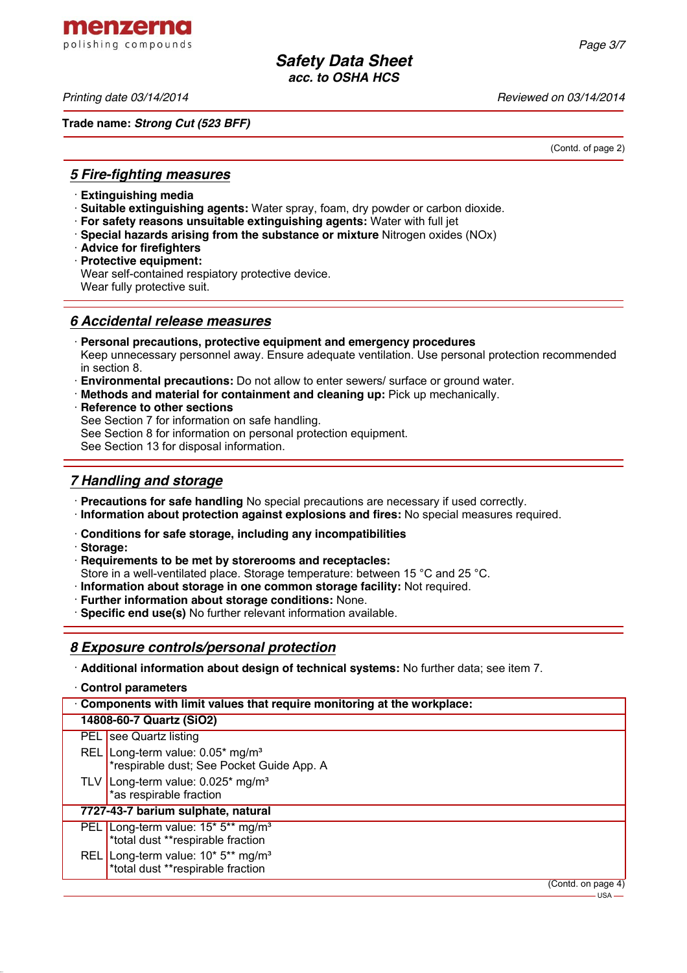menzerna polishing compounds

*Printing date 03/14/2014 Reviewed on 03/14/2014*

**Trade name:** *Strong Cut (523 BFF)*

(Contd. of page 2)

### *5 Fire-fighting measures*

- · **Extinguishing media**
- · **Suitable extinguishing agents:** Water spray, foam, dry powder or carbon dioxide.
- · **For safety reasons unsuitable extinguishing agents:** Water with full jet
- · **Special hazards arising from the substance or mixture** Nitrogen oxides (NOx)
- · **Advice for firefighters**
- · **Protective equipment:**

Wear self-contained respiatory protective device. Wear fully protective suit.

### *6 Accidental release measures*

- · **Personal precautions, protective equipment and emergency procedures** Keep unnecessary personnel away. Ensure adequate ventilation. Use personal protection recommended in section 8.
- · **Environmental precautions:** Do not allow to enter sewers/ surface or ground water.
- · **Methods and material for containment and cleaning up:** Pick up mechanically.
- · **Reference to other sections** See Section 7 for information on safe handling. See Section 8 for information on personal protection equipment. See Section 13 for disposal information.

# *7 Handling and storage*

- · **Precautions for safe handling** No special precautions are necessary if used correctly.
- · **Information about protection against explosions and fires:** No special measures required.
- · **Conditions for safe storage, including any incompatibilities**
- · **Storage:**
- · **Requirements to be met by storerooms and receptacles:**

Store in a well-ventilated place. Storage temperature: between 15 °C and 25 °C.

· **Information about storage in one common storage facility:** Not required.

- · **Further information about storage conditions:** None.
- · **Specific end use(s)** No further relevant information available.

## *8 Exposure controls/personal protection*

· **Additional information about design of technical systems:** No further data; see item 7.

|  | Control parameters |
|--|--------------------|
|--|--------------------|

| Components with limit values that require monitoring at the workplace: |                                                                                                             |                    |
|------------------------------------------------------------------------|-------------------------------------------------------------------------------------------------------------|--------------------|
|                                                                        | 14808-60-7 Quartz (SiO2)                                                                                    |                    |
|                                                                        | PEL see Quartz listing                                                                                      |                    |
|                                                                        | REL Long-term value: $0.05*$ mg/m <sup>3</sup><br>*respirable dust; See Pocket Guide App. A                 |                    |
|                                                                        | TLV Long-term value: $0.025$ * mg/m <sup>3</sup><br>*as respirable fraction                                 |                    |
|                                                                        | 7727-43-7 barium sulphate, natural                                                                          |                    |
|                                                                        | PEL Long-term value: 15 <sup>*</sup> 5 <sup>**</sup> mg/m <sup>3</sup><br>*total dust **respirable fraction |                    |
|                                                                        | REL Long-term value: 10* 5** mg/m <sup>3</sup><br>*total dust **respirable fraction                         |                    |
|                                                                        |                                                                                                             | (Contd. on page 4) |
|                                                                        |                                                                                                             | — USA —            |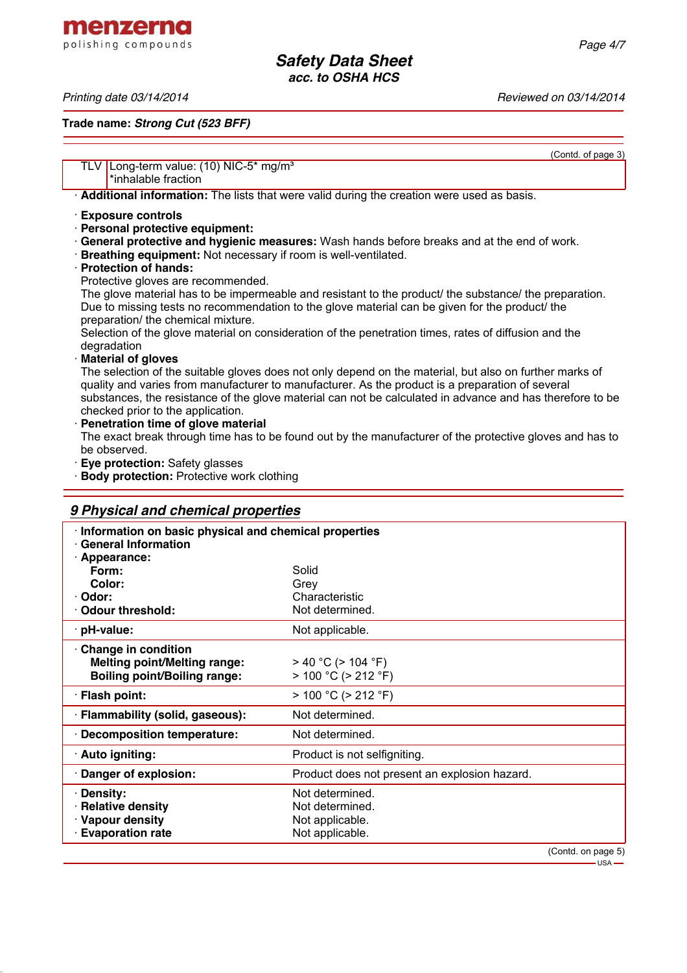menzerna polishing compounds

*Printing date 03/14/2014 Reviewed on 03/14/2014*

**Trade name:** *Strong Cut (523 BFF)*

(Contd. of page 3)

## TLV Long-term value: (10) NIC-5<sup>\*</sup> mg/m<sup>3</sup> \*inhalable fraction · **Additional information:** The lists that were valid during the creation were used as basis. · **Exposure controls** · **Personal protective equipment:** · **General protective and hygienic measures:** Wash hands before breaks and at the end of work. · **Breathing equipment:** Not necessary if room is well-ventilated. · **Protection of hands:** Protective gloves are recommended. The glove material has to be impermeable and resistant to the product/ the substance/ the preparation. Due to missing tests no recommendation to the glove material can be given for the product/ the preparation/ the chemical mixture. Selection of the glove material on consideration of the penetration times, rates of diffusion and the degradation · **Material of gloves** The selection of the suitable gloves does not only depend on the material, but also on further marks of quality and varies from manufacturer to manufacturer. As the product is a preparation of several substances, the resistance of the glove material can not be calculated in advance and has therefore to be checked prior to the application. · **Penetration time of glove material** The exact break through time has to be found out by the manufacturer of the protective gloves and has to be observed. · **Eye protection:** Safety glasses **Body protection:** Protective work clothing *9 Physical and chemical properties* · **Information on basic physical and chemical properties**

| <u>momalion on pasic privide and chemical properties</u><br><b>General Information</b> |                                               |  |
|----------------------------------------------------------------------------------------|-----------------------------------------------|--|
| <b>Appearance:</b>                                                                     |                                               |  |
| Form:                                                                                  | Solid                                         |  |
| Color:                                                                                 | Grev                                          |  |
| Odor:                                                                                  | Characteristic                                |  |
| <b>Odour threshold:</b>                                                                | Not determined.                               |  |
| $\cdot$ pH-value:                                                                      | Not applicable.                               |  |
| Change in condition                                                                    |                                               |  |
| <b>Melting point/Melting range:</b>                                                    | $>$ 40 °C ( $>$ 104 °F)                       |  |
| <b>Boiling point/Boiling range:</b>                                                    | $> 100 °C$ ( $> 212 °F$ )                     |  |
| · Flash point:                                                                         | $> 100 °C$ ( $> 212 °F$ )                     |  |
| · Flammability (solid, gaseous):                                                       | Not determined.                               |  |
| <b>Decomposition temperature:</b>                                                      | Not determined.                               |  |
| · Auto igniting:                                                                       | Product is not selfigniting.                  |  |
| Danger of explosion:                                                                   | Product does not present an explosion hazard. |  |
| <b>Density:</b>                                                                        | Not determined.                               |  |
| · Relative density                                                                     | Not determined.                               |  |
| · Vapour density                                                                       | Not applicable.                               |  |
| <b>Evaporation rate</b>                                                                | Not applicable.                               |  |
|                                                                                        |                                               |  |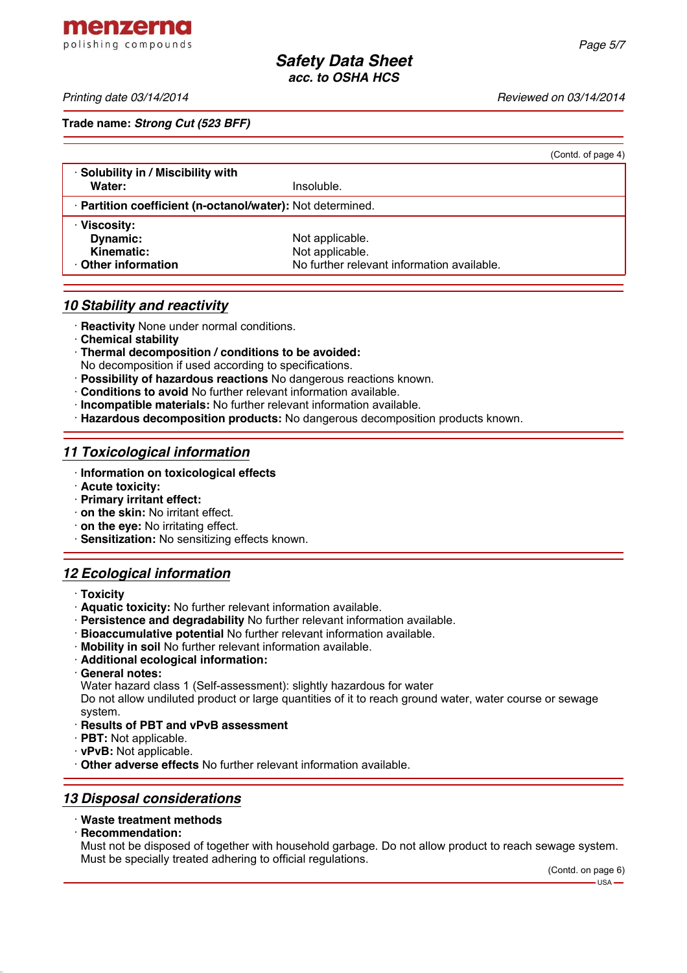menzerna polishing compounds

*Printing date 03/14/2014 Reviewed on 03/14/2014*

**Trade name:** *Strong Cut (523 BFF)*

| (Contd. of page 4)                                         |
|------------------------------------------------------------|
|                                                            |
| Insoluble.                                                 |
| · Partition coefficient (n-octanol/water): Not determined. |
|                                                            |
| Not applicable.                                            |
| Not applicable.                                            |
| No further relevant information available.                 |
|                                                            |

### *10 Stability and reactivity*

· **Reactivity** None under normal conditions.

- · **Chemical stability**
- · **Thermal decomposition / conditions to be avoided:**
- No decomposition if used according to specifications.
- · **Possibility of hazardous reactions** No dangerous reactions known.
- · **Conditions to avoid** No further relevant information available.
- · **Incompatible materials:** No further relevant information available.
- · **Hazardous decomposition products:** No dangerous decomposition products known.

### *11 Toxicological information*

- · **Information on toxicological effects**
- · **Acute toxicity:**
- · **Primary irritant effect:**
- · **on the skin:** No irritant effect.
- · **on the eye:** No irritating effect.
- · **Sensitization:** No sensitizing effects known.

## *12 Ecological information*

- · **Toxicity**
- · **Aquatic toxicity:** No further relevant information available.
- · **Persistence and degradability** No further relevant information available.
- · **Bioaccumulative potential** No further relevant information available.
- · **Mobility in soil** No further relevant information available.
- · **Additional ecological information:**
- · **General notes:**
- Water hazard class 1 (Self-assessment): slightly hazardous for water

Do not allow undiluted product or large quantities of it to reach ground water, water course or sewage system.

- · **Results of PBT and vPvB assessment**
- · **PBT:** Not applicable.
- · **vPvB:** Not applicable.
- · **Other adverse effects** No further relevant information available.

### *13 Disposal considerations*

#### · **Waste treatment methods**

· **Recommendation:**

Must not be disposed of together with household garbage. Do not allow product to reach sewage system. Must be specially treated adhering to official regulations.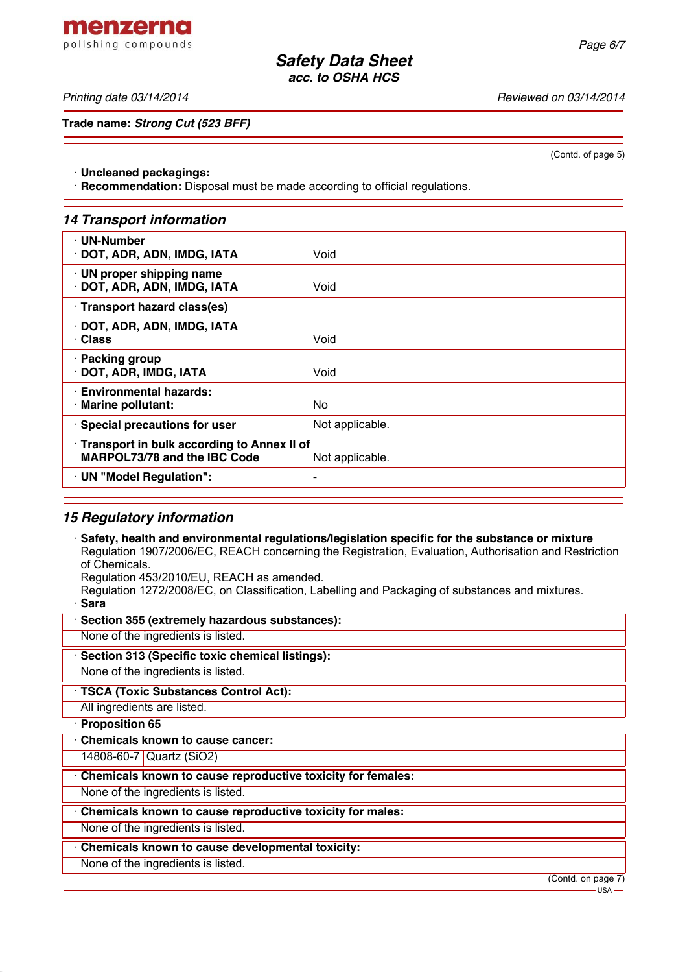*Printing date 03/14/2014 Reviewed on 03/14/2014*

**Trade name:** *Strong Cut (523 BFF)*

(Contd. of page 5)

· **Uncleaned packagings:**

· **Recommendation:** Disposal must be made according to official regulations.

| <b>14 Transport information</b> |
|---------------------------------|
|---------------------------------|

| · UN-Number<br>· DOT, ADR, ADN, IMDG, IATA                                                           | Void            |  |
|------------------------------------------------------------------------------------------------------|-----------------|--|
| · UN proper shipping name<br>DOT, ADR, ADN, IMDG, IATA                                               | Void            |  |
| Transport hazard class(es)                                                                           |                 |  |
| DOT, ADR, ADN, IMDG, IATA<br>· Class                                                                 | Void            |  |
| · Packing group<br>DOT, ADR, IMDG, IATA                                                              | Void            |  |
| <b>Environmental hazards:</b><br>· Marine pollutant:                                                 | No.             |  |
| · Special precautions for user                                                                       | Not applicable. |  |
| Transport in bulk according to Annex II of<br><b>MARPOL73/78 and the IBC Code</b><br>Not applicable. |                 |  |
| · UN "Model Regulation":                                                                             |                 |  |
|                                                                                                      |                 |  |

## *15 Regulatory information*

· **Safety, health and environmental regulations/legislation specific for the substance or mixture** Regulation 1907/2006/EC, REACH concerning the Registration, Evaluation, Authorisation and Restriction of Chemicals.

Regulation 453/2010/EU, REACH as amended.

Regulation 1272/2008/EC, on Classification, Labelling and Packaging of substances and mixtures.

· **Sara**

| Section 355 (extremely hazardous substances):               |                                   |
|-------------------------------------------------------------|-----------------------------------|
| None of the ingredients is listed.                          |                                   |
| · Section 313 (Specific toxic chemical listings):           |                                   |
| None of the ingredients is listed.                          |                                   |
| · TSCA (Toxic Substances Control Act):                      |                                   |
| All ingredients are listed.                                 |                                   |
| · Proposition 65                                            |                                   |
| Chemicals known to cause cancer:                            |                                   |
| 14808-60-7 Quartz (SiO2)                                    |                                   |
| Chemicals known to cause reproductive toxicity for females: |                                   |
| None of the ingredients is listed.                          |                                   |
| Chemicals known to cause reproductive toxicity for males:   |                                   |
| None of the ingredients is listed.                          |                                   |
| Chemicals known to cause developmental toxicity:            |                                   |
| None of the ingredients is listed.                          |                                   |
|                                                             | (Contd. on page 7)<br>$-$ USA $-$ |